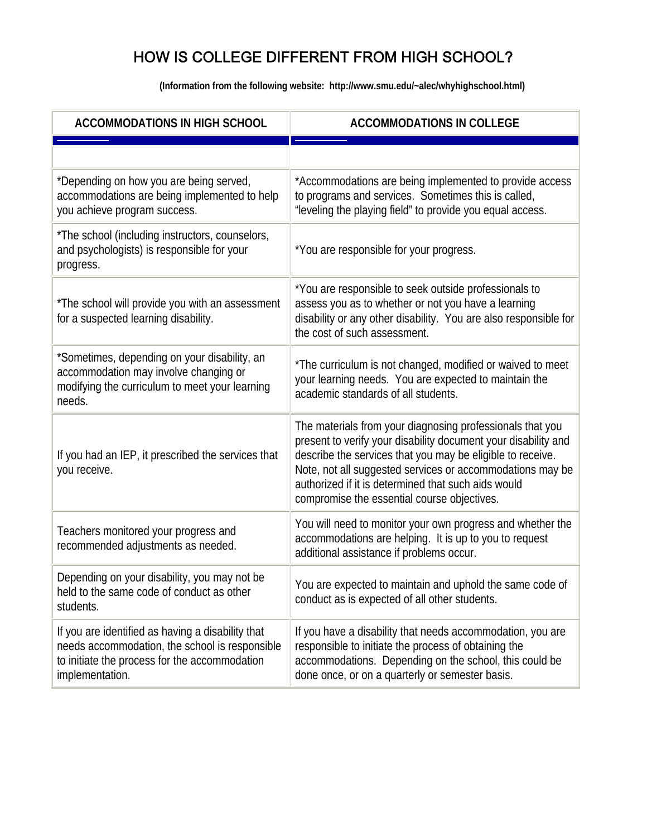| <b>ACCOMMODATIONS IN HIGH SCHOOL</b>                                                                                                                                    | <b>ACCOMMODATIONS IN COLLEGE</b>                                                                                                                                                                                                                                                                                                                             |
|-------------------------------------------------------------------------------------------------------------------------------------------------------------------------|--------------------------------------------------------------------------------------------------------------------------------------------------------------------------------------------------------------------------------------------------------------------------------------------------------------------------------------------------------------|
|                                                                                                                                                                         |                                                                                                                                                                                                                                                                                                                                                              |
| *Depending on how you are being served,<br>accommodations are being implemented to help<br>you achieve program success.                                                 | *Accommodations are being implemented to provide access<br>to programs and services. Sometimes this is called,<br>"leveling the playing field" to provide you equal access.                                                                                                                                                                                  |
| *The school (including instructors, counselors,<br>and psychologists) is responsible for your<br>progress.                                                              | *You are responsible for your progress.                                                                                                                                                                                                                                                                                                                      |
| *The school will provide you with an assessment<br>for a suspected learning disability.                                                                                 | *You are responsible to seek outside professionals to<br>assess you as to whether or not you have a learning<br>disability or any other disability. You are also responsible for<br>the cost of such assessment.                                                                                                                                             |
| *Sometimes, depending on your disability, an<br>accommodation may involve changing or<br>modifying the curriculum to meet your learning<br>needs.                       | *The curriculum is not changed, modified or waived to meet<br>your learning needs. You are expected to maintain the<br>academic standards of all students.                                                                                                                                                                                                   |
| If you had an IEP, it prescribed the services that<br>you receive.                                                                                                      | The materials from your diagnosing professionals that you<br>present to verify your disability document your disability and<br>describe the services that you may be eligible to receive.<br>Note, not all suggested services or accommodations may be<br>authorized if it is determined that such aids would<br>compromise the essential course objectives. |
| Teachers monitored your progress and<br>recommended adjustments as needed.                                                                                              | You will need to monitor your own progress and whether the<br>accommodations are helping. It is up to you to request<br>additional assistance if problems occur.                                                                                                                                                                                             |
| Depending on your disability, you may not be<br>held to the same code of conduct as other<br>students.                                                                  | You are expected to maintain and uphold the same code of<br>conduct as is expected of all other students.                                                                                                                                                                                                                                                    |
| If you are identified as having a disability that<br>needs accommodation, the school is responsible<br>to initiate the process for the accommodation<br>implementation. | If you have a disability that needs accommodation, you are<br>responsible to initiate the process of obtaining the<br>accommodations. Depending on the school, this could be<br>done once, or on a quarterly or semester basis.                                                                                                                              |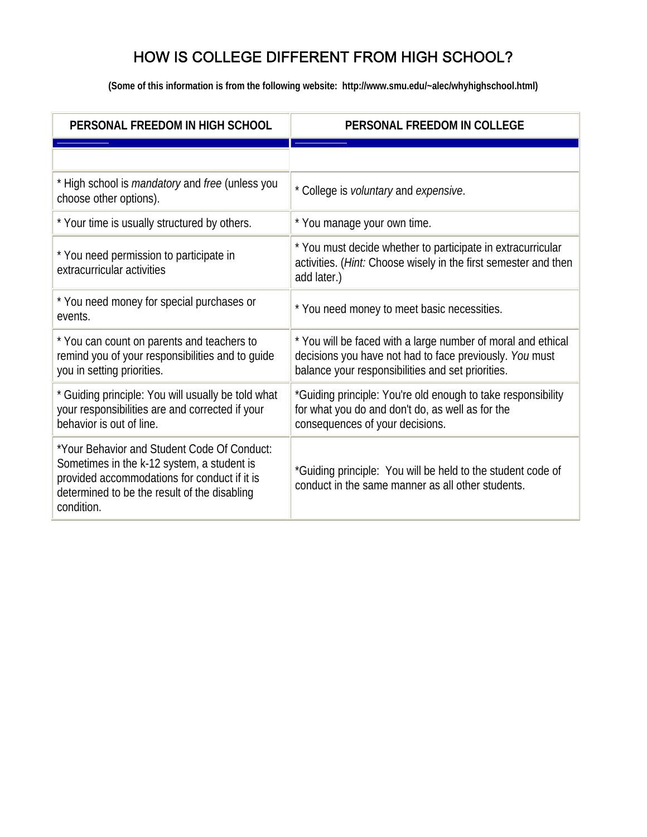| PERSONAL FREEDOM IN HIGH SCHOOL                                                                                                                                                                         | PERSONAL FREEDOM IN COLLEGE                                                                                                                                                  |
|---------------------------------------------------------------------------------------------------------------------------------------------------------------------------------------------------------|------------------------------------------------------------------------------------------------------------------------------------------------------------------------------|
|                                                                                                                                                                                                         |                                                                                                                                                                              |
| * High school is <i>mandatory</i> and <i>free</i> (unless you<br>choose other options).                                                                                                                 | * College is <i>voluntary</i> and <i>expensive</i> .                                                                                                                         |
| * Your time is usually structured by others.                                                                                                                                                            | * You manage your own time.                                                                                                                                                  |
| * You need permission to participate in<br>extracurricular activities                                                                                                                                   | * You must decide whether to participate in extracurricular<br>activities. (Hint: Choose wisely in the first semester and then<br>add later.)                                |
| * You need money for special purchases or<br>events.                                                                                                                                                    | * You need money to meet basic necessities.                                                                                                                                  |
| * You can count on parents and teachers to<br>remind you of your responsibilities and to guide<br>you in setting priorities.                                                                            | * You will be faced with a large number of moral and ethical<br>decisions you have not had to face previously. You must<br>balance your responsibilities and set priorities. |
| * Guiding principle: You will usually be told what<br>your responsibilities are and corrected if your<br>behavior is out of line.                                                                       | *Guiding principle: You're old enough to take responsibility<br>for what you do and don't do, as well as for the<br>consequences of your decisions.                          |
| *Your Behavior and Student Code Of Conduct:<br>Sometimes in the k-12 system, a student is<br>provided accommodations for conduct if it is<br>determined to be the result of the disabling<br>condition. | *Guiding principle: You will be held to the student code of<br>conduct in the same manner as all other students.                                                             |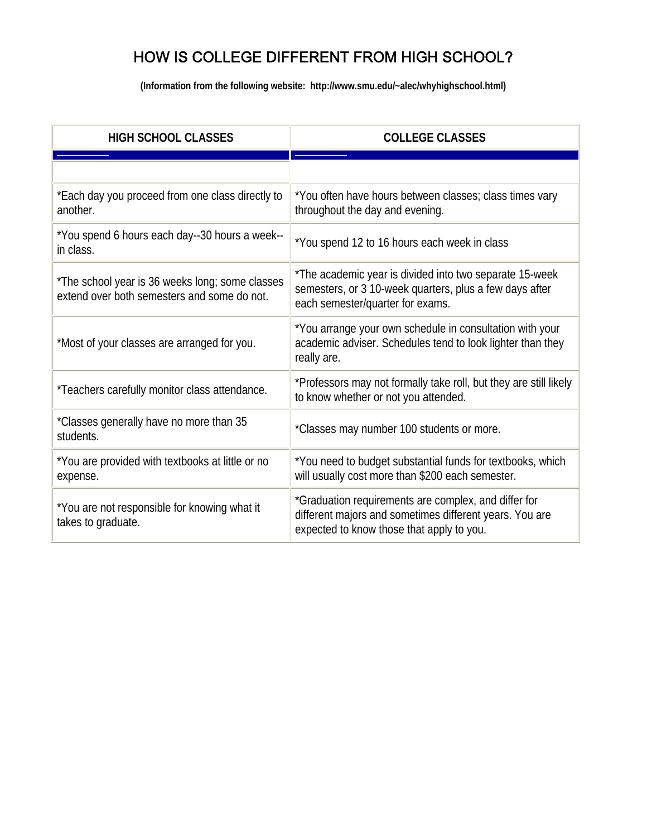| <b>HIGH SCHOOL CLASSES</b>                                                                     | <b>COLLEGE CLASSES</b>                                                                                                                                       |
|------------------------------------------------------------------------------------------------|--------------------------------------------------------------------------------------------------------------------------------------------------------------|
|                                                                                                |                                                                                                                                                              |
| *Each day you proceed from one class directly to<br>another.                                   | *You often have hours between classes; class times vary<br>throughout the day and evening.                                                                   |
| *You spend 6 hours each day--30 hours a week--<br>in class.                                    | *You spend 12 to 16 hours each week in class                                                                                                                 |
| *The school year is 36 weeks long; some classes<br>extend over both semesters and some do not. | *The academic year is divided into two separate 15-week<br>semesters, or 3 10-week quarters, plus a few days after<br>each semester/quarter for exams.       |
| *Most of your classes are arranged for you.                                                    | *You arrange your own schedule in consultation with your<br>academic adviser. Schedules tend to look lighter than they<br>really are.                        |
| *Teachers carefully monitor class attendance.                                                  | *Professors may not formally take roll, but they are still likely<br>to know whether or not you attended.                                                    |
| *Classes generally have no more than 35<br>students.                                           | *Classes may number 100 students or more.                                                                                                                    |
| *You are provided with textbooks at little or no<br>expense.                                   | *You need to budget substantial funds for textbooks, which<br>will usually cost more than \$200 each semester.                                               |
| *You are not responsible for knowing what it<br>takes to graduate.                             | *Graduation requirements are complex, and differ for<br>different majors and sometimes different years. You are<br>expected to know those that apply to you. |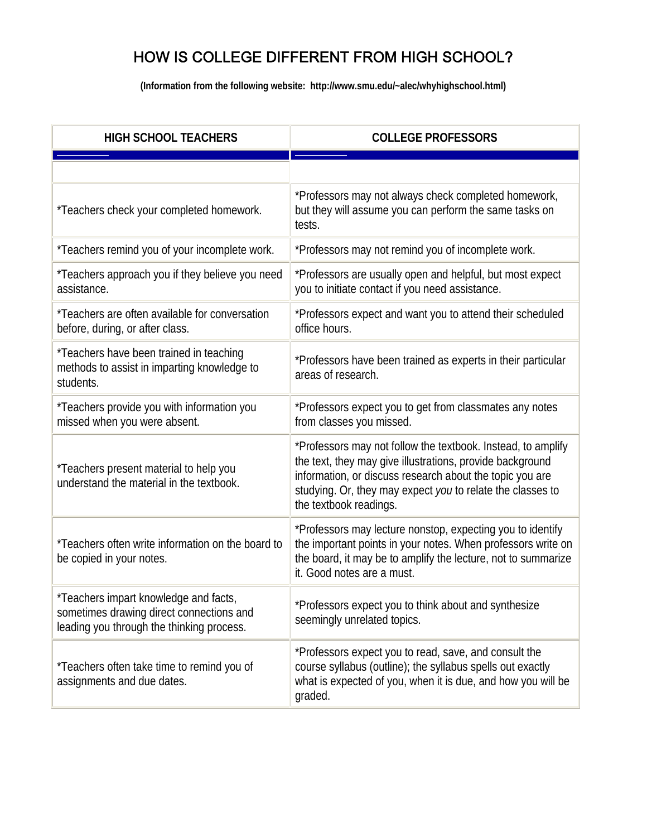| <b>HIGH SCHOOL TEACHERS</b>                                                                                                    | <b>COLLEGE PROFESSORS</b>                                                                                                                                                                                                                                                     |
|--------------------------------------------------------------------------------------------------------------------------------|-------------------------------------------------------------------------------------------------------------------------------------------------------------------------------------------------------------------------------------------------------------------------------|
|                                                                                                                                |                                                                                                                                                                                                                                                                               |
| *Teachers check your completed homework.                                                                                       | *Professors may not always check completed homework,<br>but they will assume you can perform the same tasks on<br>tests.                                                                                                                                                      |
| *Teachers remind you of your incomplete work.                                                                                  | *Professors may not remind you of incomplete work.                                                                                                                                                                                                                            |
| *Teachers approach you if they believe you need<br>assistance.                                                                 | *Professors are usually open and helpful, but most expect<br>you to initiate contact if you need assistance.                                                                                                                                                                  |
| *Teachers are often available for conversation<br>before, during, or after class.                                              | *Professors expect and want you to attend their scheduled<br>office hours.                                                                                                                                                                                                    |
| *Teachers have been trained in teaching<br>methods to assist in imparting knowledge to<br>students.                            | *Professors have been trained as experts in their particular<br>areas of research.                                                                                                                                                                                            |
| *Teachers provide you with information you<br>missed when you were absent.                                                     | *Professors expect you to get from classmates any notes<br>from classes you missed.                                                                                                                                                                                           |
| *Teachers present material to help you<br>understand the material in the textbook.                                             | *Professors may not follow the textbook. Instead, to amplify<br>the text, they may give illustrations, provide background<br>information, or discuss research about the topic you are<br>studying. Or, they may expect you to relate the classes to<br>the textbook readings. |
| *Teachers often write information on the board to<br>be copied in your notes.                                                  | *Professors may lecture nonstop, expecting you to identify<br>the important points in your notes. When professors write on<br>the board, it may be to amplify the lecture, not to summarize<br>it. Good notes are a must.                                                     |
| *Teachers impart knowledge and facts,<br>sometimes drawing direct connections and<br>leading you through the thinking process. | *Professors expect you to think about and synthesize<br>seemingly unrelated topics.                                                                                                                                                                                           |
| *Teachers often take time to remind you of<br>assignments and due dates.                                                       | *Professors expect you to read, save, and consult the<br>course syllabus (outline); the syllabus spells out exactly<br>what is expected of you, when it is due, and how you will be<br>graded.                                                                                |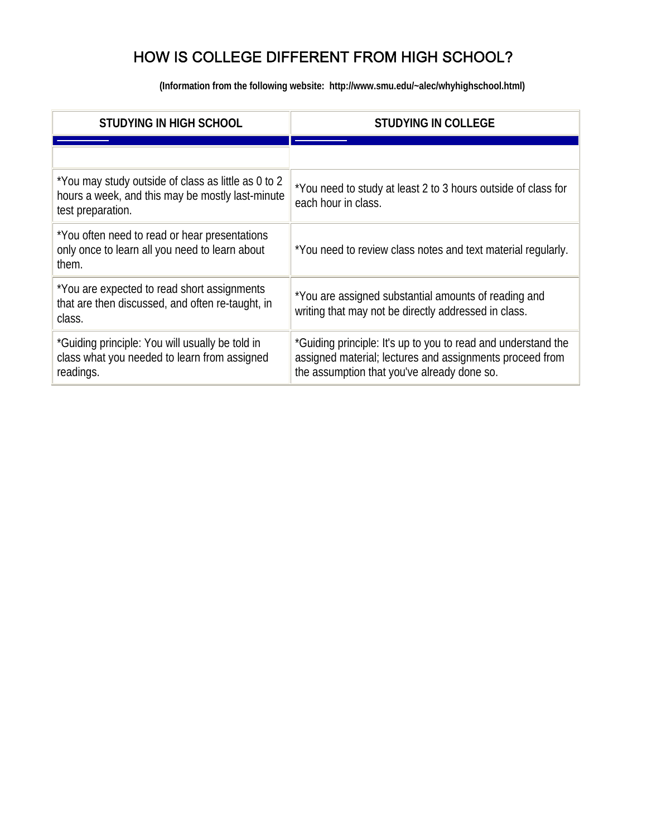| <b>STUDYING IN HIGH SCHOOL</b>                                                                                               | <b>STUDYING IN COLLEGE</b>                                                                                                                                               |
|------------------------------------------------------------------------------------------------------------------------------|--------------------------------------------------------------------------------------------------------------------------------------------------------------------------|
|                                                                                                                              |                                                                                                                                                                          |
| *You may study outside of class as little as 0 to 2<br>hours a week, and this may be mostly last-minute<br>test preparation. | *You need to study at least 2 to 3 hours outside of class for<br>each hour in class.                                                                                     |
| *You often need to read or hear presentations<br>only once to learn all you need to learn about<br>them.                     | *You need to review class notes and text material regularly.                                                                                                             |
| *You are expected to read short assignments<br>that are then discussed, and often re-taught, in<br>class.                    | *You are assigned substantial amounts of reading and<br>writing that may not be directly addressed in class.                                                             |
| *Guiding principle: You will usually be told in<br>class what you needed to learn from assigned<br>readings.                 | *Guiding principle: It's up to you to read and understand the<br>assigned material; lectures and assignments proceed from<br>the assumption that you've already done so. |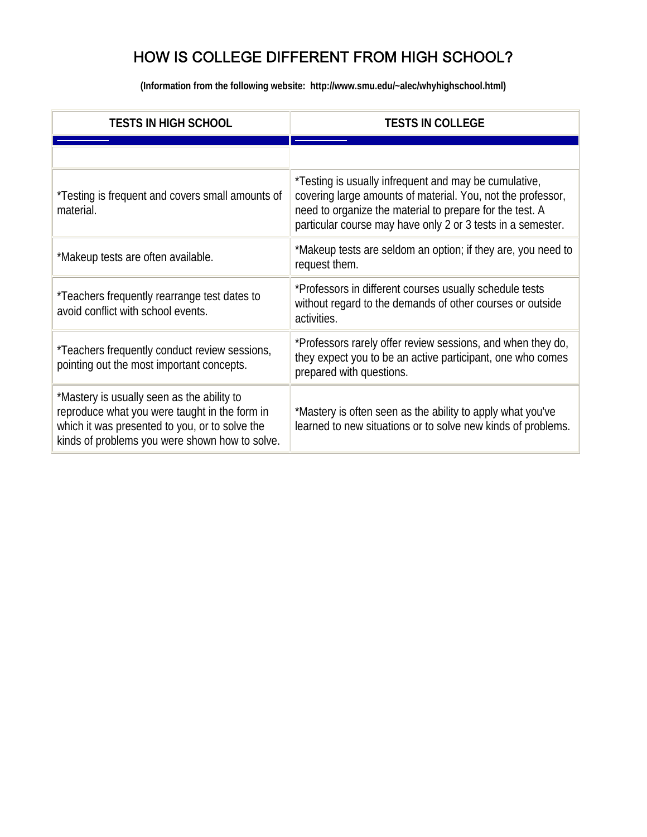| <b>TESTS IN HIGH SCHOOL</b>                                                                                                                                                                     | <b>TESTS IN COLLEGE</b>                                                                                                                                                                                                                         |
|-------------------------------------------------------------------------------------------------------------------------------------------------------------------------------------------------|-------------------------------------------------------------------------------------------------------------------------------------------------------------------------------------------------------------------------------------------------|
|                                                                                                                                                                                                 |                                                                                                                                                                                                                                                 |
| *Testing is frequent and covers small amounts of<br>material.                                                                                                                                   | *Testing is usually infrequent and may be cumulative,<br>covering large amounts of material. You, not the professor,<br>need to organize the material to prepare for the test. A<br>particular course may have only 2 or 3 tests in a semester. |
| *Makeup tests are often available.                                                                                                                                                              | *Makeup tests are seldom an option; if they are, you need to<br>request them.                                                                                                                                                                   |
| *Teachers frequently rearrange test dates to<br>avoid conflict with school events.                                                                                                              | *Professors in different courses usually schedule tests<br>without regard to the demands of other courses or outside<br>activities.                                                                                                             |
| *Teachers frequently conduct review sessions,<br>pointing out the most important concepts.                                                                                                      | *Professors rarely offer review sessions, and when they do,<br>they expect you to be an active participant, one who comes<br>prepared with questions.                                                                                           |
| *Mastery is usually seen as the ability to<br>reproduce what you were taught in the form in<br>which it was presented to you, or to solve the<br>kinds of problems you were shown how to solve. | *Mastery is often seen as the ability to apply what you've<br>learned to new situations or to solve new kinds of problems.                                                                                                                      |